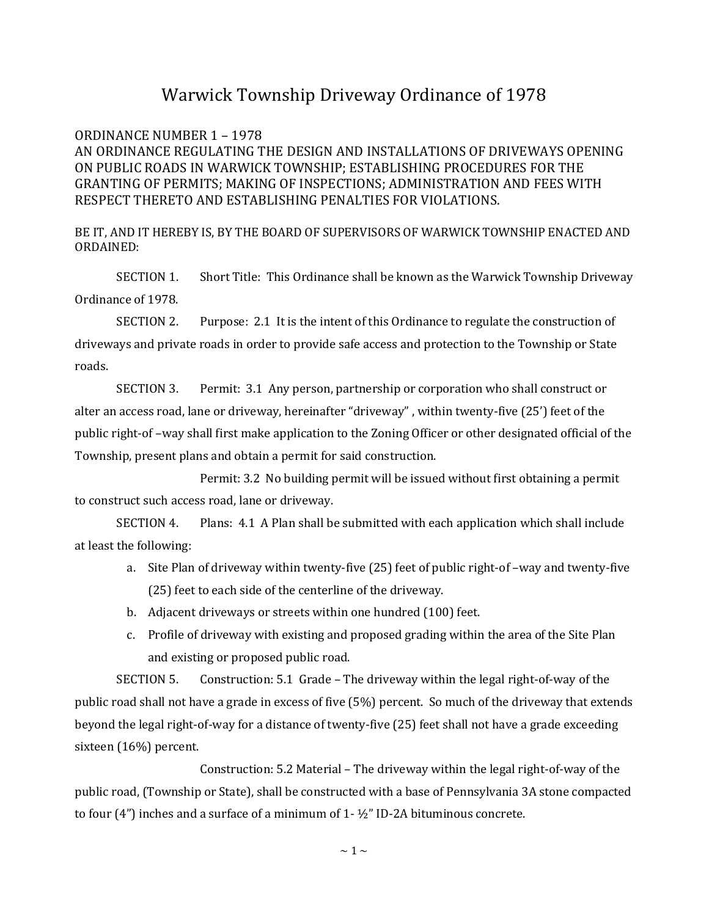## Warwick Township Driveway Ordinance of 1978

ORDINANCE NUMBER 1 – 1978 AN ORDINANCE REGULATING THE DESIGN AND INSTALLATIONS OF DRIVEWAYS OPENING ON PUBLIC ROADS IN WARWICK TOWNSHIP; ESTABLISHING PROCEDURES FOR THE GRANTING OF PERMITS; MAKING OF INSPECTIONS; ADMINISTRATION AND FEES WITH RESPECT THERETO AND ESTABLISHING PENALTIES FOR VIOLATIONS.

BE IT, AND IT HEREBY IS, BY THE BOARD OF SUPERVISORS OF WARWICK TOWNSHIP ENACTED AND ORDAINED:

SECTION 1. Short Title: This Ordinance shall be known as the Warwick Township Driveway Ordinance of 1978.

SECTION 2. Purpose: 2.1 It is the intent of this Ordinance to regulate the construction of driveways and private roads in order to provide safe access and protection to the Township or State roads.

SECTION 3. Permit: 3.1 Any person, partnership or corporation who shall construct or alter an access road, lane or driveway, hereinafter "driveway" , within twenty-five (25') feet of the public right-of –way shall first make application to the Zoning Officer or other designated official of the Township, present plans and obtain a permit for said construction.

Permit: 3.2 No building permit will be issued without first obtaining a permit to construct such access road, lane or driveway.

SECTION 4. Plans: 4.1 A Plan shall be submitted with each application which shall include at least the following:

- a. Site Plan of driveway within twenty-five (25) feet of public right-of –way and twenty-five (25) feet to each side of the centerline of the driveway.
- b. Adjacent driveways or streets within one hundred (100) feet.
- c. Profile of driveway with existing and proposed grading within the area of the Site Plan and existing or proposed public road.

SECTION 5. Construction: 5.1 Grade – The driveway within the legal right-of-way of the public road shall not have a grade in excess of five (5%) percent. So much of the driveway that extends beyond the legal right-of-way for a distance of twenty-five (25) feet shall not have a grade exceeding sixteen (16%) percent.

Construction: 5.2 Material – The driveway within the legal right-of-way of the public road, (Township or State), shall be constructed with a base of Pennsylvania 3A stone compacted to four (4") inches and a surface of a minimum of 1- ½" ID-2A bituminous concrete.

 $\sim$  1  $\sim$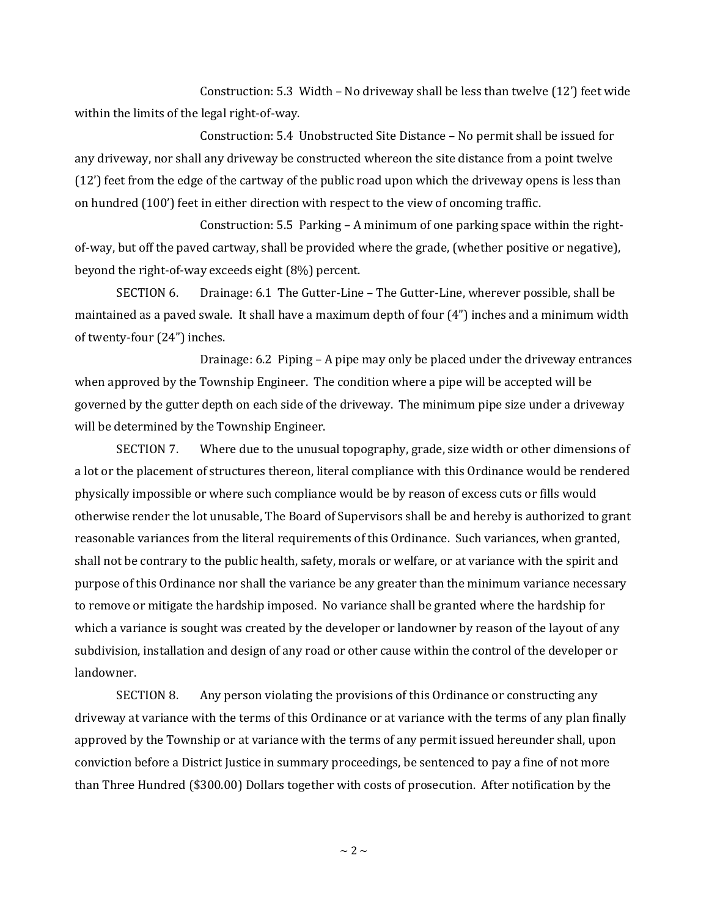Construction: 5.3 Width – No driveway shall be less than twelve (12') feet wide within the limits of the legal right-of-way.

Construction: 5.4 Unobstructed Site Distance – No permit shall be issued for any driveway, nor shall any driveway be constructed whereon the site distance from a point twelve (12') feet from the edge of the cartway of the public road upon which the driveway opens is less than on hundred (100') feet in either direction with respect to the view of oncoming traffic.

Construction: 5.5 Parking – A minimum of one parking space within the rightof-way, but off the paved cartway, shall be provided where the grade, (whether positive or negative), beyond the right-of-way exceeds eight (8%) percent.

SECTION 6. Drainage: 6.1 The Gutter-Line – The Gutter-Line, wherever possible, shall be maintained as a paved swale. It shall have a maximum depth of four (4") inches and a minimum width of twenty-four (24") inches.

Drainage: 6.2 Piping – A pipe may only be placed under the driveway entrances when approved by the Township Engineer. The condition where a pipe will be accepted will be governed by the gutter depth on each side of the driveway. The minimum pipe size under a driveway will be determined by the Township Engineer.

SECTION 7. Where due to the unusual topography, grade, size width or other dimensions of a lot or the placement of structures thereon, literal compliance with this Ordinance would be rendered physically impossible or where such compliance would be by reason of excess cuts or fills would otherwise render the lot unusable, The Board of Supervisors shall be and hereby is authorized to grant reasonable variances from the literal requirements of this Ordinance. Such variances, when granted, shall not be contrary to the public health, safety, morals or welfare, or at variance with the spirit and purpose of this Ordinance nor shall the variance be any greater than the minimum variance necessary to remove or mitigate the hardship imposed. No variance shall be granted where the hardship for which a variance is sought was created by the developer or landowner by reason of the layout of any subdivision, installation and design of any road or other cause within the control of the developer or landowner.

SECTION 8. Any person violating the provisions of this Ordinance or constructing any driveway at variance with the terms of this Ordinance or at variance with the terms of any plan finally approved by the Township or at variance with the terms of any permit issued hereunder shall, upon conviction before a District Justice in summary proceedings, be sentenced to pay a fine of not more than Three Hundred (\$300.00) Dollars together with costs of prosecution. After notification by the